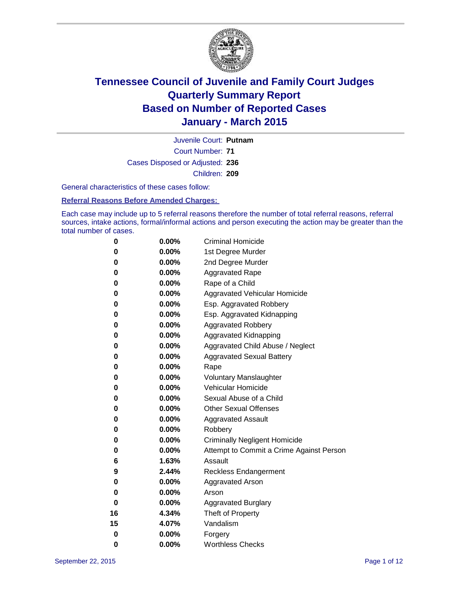

Court Number: **71** Juvenile Court: **Putnam** Cases Disposed or Adjusted: **236** Children: **209**

General characteristics of these cases follow:

**Referral Reasons Before Amended Charges:** 

Each case may include up to 5 referral reasons therefore the number of total referral reasons, referral sources, intake actions, formal/informal actions and person executing the action may be greater than the total number of cases.

| 0  | $0.00\%$ | <b>Criminal Homicide</b>                 |
|----|----------|------------------------------------------|
| 0  | 0.00%    | 1st Degree Murder                        |
| 0  | 0.00%    | 2nd Degree Murder                        |
| 0  | $0.00\%$ | <b>Aggravated Rape</b>                   |
| 0  | $0.00\%$ | Rape of a Child                          |
| 0  | 0.00%    | Aggravated Vehicular Homicide            |
| 0  | 0.00%    | Esp. Aggravated Robbery                  |
| 0  | $0.00\%$ | Esp. Aggravated Kidnapping               |
| 0  | 0.00%    | <b>Aggravated Robbery</b>                |
| 0  | 0.00%    | <b>Aggravated Kidnapping</b>             |
| 0  | 0.00%    | Aggravated Child Abuse / Neglect         |
| 0  | 0.00%    | <b>Aggravated Sexual Battery</b>         |
| 0  | 0.00%    | Rape                                     |
| 0  | $0.00\%$ | <b>Voluntary Manslaughter</b>            |
| 0  | $0.00\%$ | <b>Vehicular Homicide</b>                |
| 0  | 0.00%    | Sexual Abuse of a Child                  |
| 0  | 0.00%    | <b>Other Sexual Offenses</b>             |
| 0  | $0.00\%$ | <b>Aggravated Assault</b>                |
| 0  | 0.00%    | Robbery                                  |
| 0  | 0.00%    | <b>Criminally Negligent Homicide</b>     |
| 0  | 0.00%    | Attempt to Commit a Crime Against Person |
| 6  | 1.63%    | Assault                                  |
| 9  | 2.44%    | <b>Reckless Endangerment</b>             |
| 0  | 0.00%    | <b>Aggravated Arson</b>                  |
| 0  | 0.00%    | Arson                                    |
| 0  | 0.00%    | <b>Aggravated Burglary</b>               |
| 16 | 4.34%    | Theft of Property                        |
| 15 | 4.07%    | Vandalism                                |
| 0  | 0.00%    | Forgery                                  |
| 0  | 0.00%    | <b>Worthless Checks</b>                  |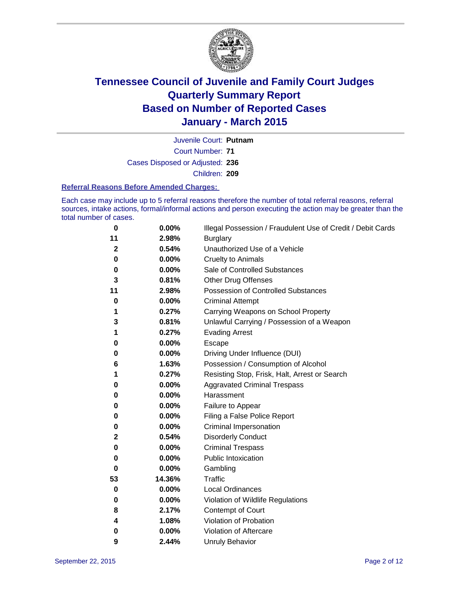

Court Number: **71** Juvenile Court: **Putnam** Cases Disposed or Adjusted: **236** Children: **209**

#### **Referral Reasons Before Amended Charges:**

Each case may include up to 5 referral reasons therefore the number of total referral reasons, referral sources, intake actions, formal/informal actions and person executing the action may be greater than the total number of cases.

| 0            | 0.00%    | Illegal Possession / Fraudulent Use of Credit / Debit Cards |
|--------------|----------|-------------------------------------------------------------|
| 11           | 2.98%    | <b>Burglary</b>                                             |
| $\mathbf 2$  | 0.54%    | Unauthorized Use of a Vehicle                               |
| 0            | $0.00\%$ | <b>Cruelty to Animals</b>                                   |
| 0            | 0.00%    | Sale of Controlled Substances                               |
| 3            | 0.81%    | <b>Other Drug Offenses</b>                                  |
| 11           | 2.98%    | Possession of Controlled Substances                         |
| 0            | 0.00%    | <b>Criminal Attempt</b>                                     |
| 1            | 0.27%    | Carrying Weapons on School Property                         |
| 3            | 0.81%    | Unlawful Carrying / Possession of a Weapon                  |
| 1            | 0.27%    | <b>Evading Arrest</b>                                       |
| 0            | 0.00%    | Escape                                                      |
| 0            | 0.00%    | Driving Under Influence (DUI)                               |
| 6            | 1.63%    | Possession / Consumption of Alcohol                         |
| 1            | 0.27%    | Resisting Stop, Frisk, Halt, Arrest or Search               |
| 0            | 0.00%    | <b>Aggravated Criminal Trespass</b>                         |
| 0            | $0.00\%$ | Harassment                                                  |
| 0            | 0.00%    | Failure to Appear                                           |
| 0            | $0.00\%$ | Filing a False Police Report                                |
| 0            | $0.00\%$ | Criminal Impersonation                                      |
| $\mathbf{2}$ | 0.54%    | <b>Disorderly Conduct</b>                                   |
| 0            | 0.00%    | <b>Criminal Trespass</b>                                    |
| 0            | $0.00\%$ | <b>Public Intoxication</b>                                  |
| 0            | 0.00%    | Gambling                                                    |
| 53           | 14.36%   | <b>Traffic</b>                                              |
| 0            | 0.00%    | Local Ordinances                                            |
| 0            | $0.00\%$ | Violation of Wildlife Regulations                           |
| 8            | 2.17%    | Contempt of Court                                           |
| 4            | 1.08%    | Violation of Probation                                      |
| 0            | 0.00%    | Violation of Aftercare                                      |
| 9            | 2.44%    | <b>Unruly Behavior</b>                                      |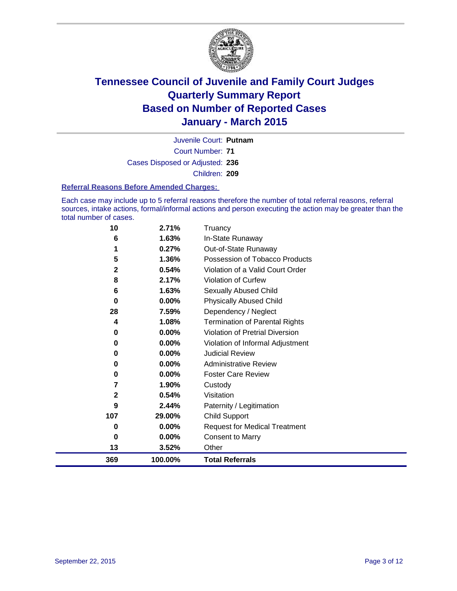

Court Number: **71** Juvenile Court: **Putnam** Cases Disposed or Adjusted: **236** Children: **209**

#### **Referral Reasons Before Amended Charges:**

Each case may include up to 5 referral reasons therefore the number of total referral reasons, referral sources, intake actions, formal/informal actions and person executing the action may be greater than the total number of cases.

| 10           | 2.71%   | Truancy                               |
|--------------|---------|---------------------------------------|
| 6            | 1.63%   | In-State Runaway                      |
|              | 0.27%   | Out-of-State Runaway                  |
| 5            | 1.36%   | Possession of Tobacco Products        |
| $\mathbf{2}$ | 0.54%   | Violation of a Valid Court Order      |
| 8            | 2.17%   | Violation of Curfew                   |
| 6            | 1.63%   | Sexually Abused Child                 |
| 0            | 0.00%   | <b>Physically Abused Child</b>        |
| 28           | 7.59%   | Dependency / Neglect                  |
| 4            | 1.08%   | <b>Termination of Parental Rights</b> |
| 0            | 0.00%   | Violation of Pretrial Diversion       |
| 0            | 0.00%   | Violation of Informal Adjustment      |
| 0            | 0.00%   | <b>Judicial Review</b>                |
| 0            | 0.00%   | <b>Administrative Review</b>          |
| 0            | 0.00%   | <b>Foster Care Review</b>             |
| 7            | 1.90%   | Custody                               |
| 2            | 0.54%   | Visitation                            |
| 9            | 2.44%   | Paternity / Legitimation              |
| 107          | 29.00%  | <b>Child Support</b>                  |
| 0            | 0.00%   | <b>Request for Medical Treatment</b>  |
| 0            | 0.00%   | <b>Consent to Marry</b>               |
| 13           | 3.52%   | Other                                 |
| 369          | 100.00% | <b>Total Referrals</b>                |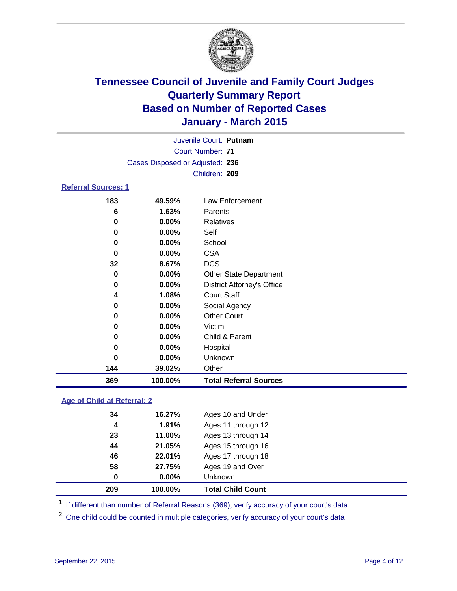

| Juvenile Court: Putnam          |  |  |  |  |  |  |  |  |  |  |  |  |  |  |  |  |  |  |  |  |  |  |  |
|---------------------------------|--|--|--|--|--|--|--|--|--|--|--|--|--|--|--|--|--|--|--|--|--|--|--|
| Court Number: 71                |  |  |  |  |  |  |  |  |  |  |  |  |  |  |  |  |  |  |  |  |  |  |  |
| Cases Disposed or Adjusted: 236 |  |  |  |  |  |  |  |  |  |  |  |  |  |  |  |  |  |  |  |  |  |  |  |
| Children: 209                   |  |  |  |  |  |  |  |  |  |  |  |  |  |  |  |  |  |  |  |  |  |  |  |
|                                 |  |  |  |  |  |  |  |  |  |  |  |  |  |  |  |  |  |  |  |  |  |  |  |

### **Referral Sources: 1**

| 369 | 100.00%  | <b>Total Referral Sources</b>     |
|-----|----------|-----------------------------------|
| 144 | 39.02%   | Other                             |
| 0   | $0.00\%$ | Unknown                           |
| 0   | $0.00\%$ | Hospital                          |
| 0   | 0.00%    | Child & Parent                    |
| 0   | 0.00%    | Victim                            |
| 0   | 0.00%    | <b>Other Court</b>                |
| 0   | $0.00\%$ | Social Agency                     |
| 4   | 1.08%    | <b>Court Staff</b>                |
| 0   | $0.00\%$ | <b>District Attorney's Office</b> |
| 0   | $0.00\%$ | <b>Other State Department</b>     |
| 32  | 8.67%    | <b>DCS</b>                        |
| 0   | $0.00\%$ | <b>CSA</b>                        |
| 0   | $0.00\%$ | School                            |
| 0   | $0.00\%$ | Self                              |
| 0   | 0.00%    | Relatives                         |
| 6   | 1.63%    | Parents                           |
| 183 | 49.59%   | Law Enforcement                   |

### **Age of Child at Referral: 2**

| 209 | 100.00%  | <b>Total Child Count</b> |
|-----|----------|--------------------------|
| 0   | $0.00\%$ | <b>Unknown</b>           |
| 58  | 27.75%   | Ages 19 and Over         |
| 46  | 22.01%   | Ages 17 through 18       |
| 44  | 21.05%   | Ages 15 through 16       |
| 23  | 11.00%   | Ages 13 through 14       |
| 4   | 1.91%    | Ages 11 through 12       |
| 34  | 16.27%   | Ages 10 and Under        |

<sup>1</sup> If different than number of Referral Reasons (369), verify accuracy of your court's data.

One child could be counted in multiple categories, verify accuracy of your court's data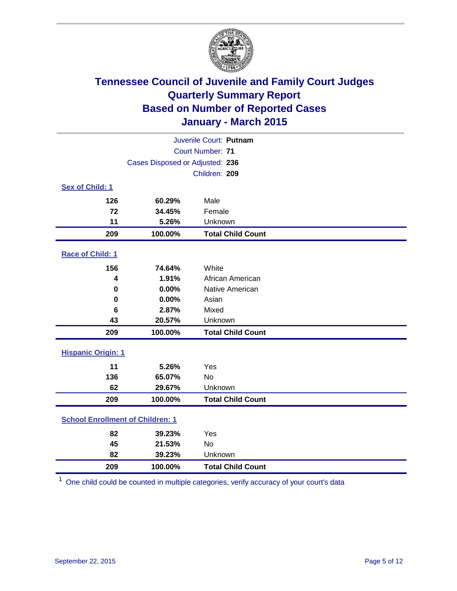

|                                         | Juvenile Court: Putnam          |                          |  |  |  |  |  |  |  |
|-----------------------------------------|---------------------------------|--------------------------|--|--|--|--|--|--|--|
|                                         |                                 | Court Number: 71         |  |  |  |  |  |  |  |
|                                         | Cases Disposed or Adjusted: 236 |                          |  |  |  |  |  |  |  |
|                                         | Children: 209                   |                          |  |  |  |  |  |  |  |
| Sex of Child: 1                         |                                 |                          |  |  |  |  |  |  |  |
| 126                                     | 60.29%                          | Male                     |  |  |  |  |  |  |  |
| 72                                      | 34.45%                          | Female                   |  |  |  |  |  |  |  |
| 11                                      | 5.26%                           | Unknown                  |  |  |  |  |  |  |  |
| 209                                     | 100.00%                         | <b>Total Child Count</b> |  |  |  |  |  |  |  |
| Race of Child: 1                        |                                 |                          |  |  |  |  |  |  |  |
| 156                                     | 74.64%                          | White                    |  |  |  |  |  |  |  |
| 4                                       | 1.91%                           | African American         |  |  |  |  |  |  |  |
| 0                                       | 0.00%                           | Native American          |  |  |  |  |  |  |  |
| $\bf{0}$                                | 0.00%                           | Asian                    |  |  |  |  |  |  |  |
| 6                                       | 2.87%                           | Mixed                    |  |  |  |  |  |  |  |
| 43                                      | 20.57%                          | Unknown                  |  |  |  |  |  |  |  |
| 209                                     | 100.00%                         | <b>Total Child Count</b> |  |  |  |  |  |  |  |
| <b>Hispanic Origin: 1</b>               |                                 |                          |  |  |  |  |  |  |  |
| 11                                      | 5.26%                           | Yes                      |  |  |  |  |  |  |  |
| 136                                     | 65.07%                          | <b>No</b>                |  |  |  |  |  |  |  |
| 62                                      | 29.67%                          | Unknown                  |  |  |  |  |  |  |  |
| 209                                     | 100.00%                         | <b>Total Child Count</b> |  |  |  |  |  |  |  |
| <b>School Enrollment of Children: 1</b> |                                 |                          |  |  |  |  |  |  |  |
| 82                                      | 39.23%                          | Yes                      |  |  |  |  |  |  |  |
| 45                                      | 21.53%                          | No                       |  |  |  |  |  |  |  |
| 82                                      | 39.23%                          | Unknown                  |  |  |  |  |  |  |  |
| 209                                     | 100.00%                         | <b>Total Child Count</b> |  |  |  |  |  |  |  |

One child could be counted in multiple categories, verify accuracy of your court's data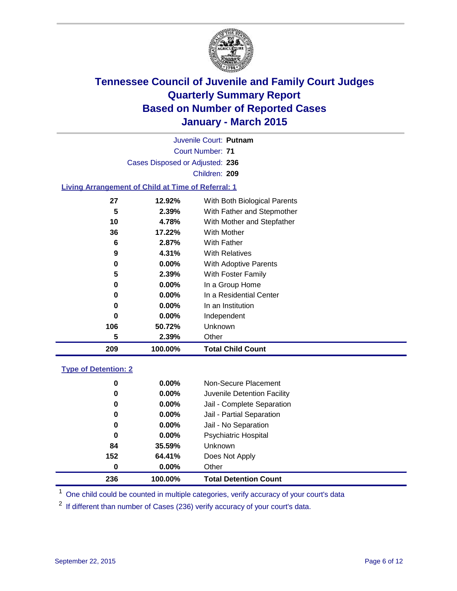

Court Number: **71** Juvenile Court: **Putnam** Cases Disposed or Adjusted: **236** Children: **209**

### **Living Arrangement of Child at Time of Referral: 1**

| 209 | 100.00%  | <b>Total Child Count</b>     |
|-----|----------|------------------------------|
| 5   | 2.39%    | Other                        |
| 106 | 50.72%   | Unknown                      |
| 0   | $0.00\%$ | Independent                  |
| 0   | $0.00\%$ | In an Institution            |
| 0   | $0.00\%$ | In a Residential Center      |
| 0   | 0.00%    | In a Group Home              |
| 5   | 2.39%    | With Foster Family           |
| 0   | $0.00\%$ | <b>With Adoptive Parents</b> |
| 9   | 4.31%    | <b>With Relatives</b>        |
| 6   | 2.87%    | With Father                  |
| 36  | 17.22%   | With Mother                  |
| 10  | 4.78%    | With Mother and Stepfather   |
| 5   | 2.39%    | With Father and Stepmother   |
| 27  | 12.92%   | With Both Biological Parents |
|     |          |                              |

#### **Type of Detention: 2**

| 0<br>236 | $0.00\%$<br>100.00% | Other<br><b>Total Detention Count</b> |
|----------|---------------------|---------------------------------------|
| 152      | 64.41%              | Does Not Apply                        |
| 84       | 35.59%              | Unknown                               |
| 0        | $0.00\%$            | <b>Psychiatric Hospital</b>           |
| 0        | $0.00\%$            | Jail - No Separation                  |
| 0        | 0.00%               | Jail - Partial Separation             |
| 0        | $0.00\%$            | Jail - Complete Separation            |
| 0        | 0.00%               | Juvenile Detention Facility           |
| 0        | 0.00%               | Non-Secure Placement                  |

<sup>1</sup> One child could be counted in multiple categories, verify accuracy of your court's data

If different than number of Cases (236) verify accuracy of your court's data.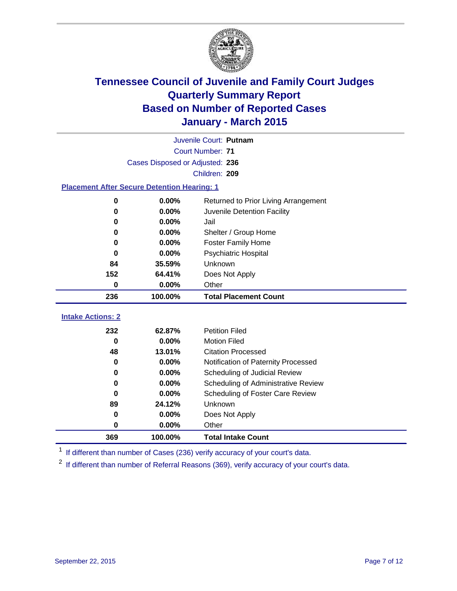

|                                                    | Juvenile Court: Putnam |                                      |  |  |  |  |  |  |
|----------------------------------------------------|------------------------|--------------------------------------|--|--|--|--|--|--|
|                                                    |                        | <b>Court Number: 71</b>              |  |  |  |  |  |  |
| Cases Disposed or Adjusted: 236                    |                        |                                      |  |  |  |  |  |  |
| Children: 209                                      |                        |                                      |  |  |  |  |  |  |
| <b>Placement After Secure Detention Hearing: 1</b> |                        |                                      |  |  |  |  |  |  |
| 0                                                  | 0.00%                  | Returned to Prior Living Arrangement |  |  |  |  |  |  |
| 0                                                  | 0.00%                  | Juvenile Detention Facility          |  |  |  |  |  |  |
| 0                                                  | 0.00%                  | Jail                                 |  |  |  |  |  |  |
| 0                                                  | 0.00%                  | Shelter / Group Home                 |  |  |  |  |  |  |
| 0                                                  | 0.00%                  | <b>Foster Family Home</b>            |  |  |  |  |  |  |
| 0                                                  | 0.00%                  | <b>Psychiatric Hospital</b>          |  |  |  |  |  |  |
| 84                                                 | 35.59%                 | Unknown                              |  |  |  |  |  |  |
| 152                                                | 64.41%                 | Does Not Apply                       |  |  |  |  |  |  |
| 0                                                  | 0.00%                  | Other                                |  |  |  |  |  |  |
| 236                                                | 100.00%                | <b>Total Placement Count</b>         |  |  |  |  |  |  |
| <b>Intake Actions: 2</b>                           |                        |                                      |  |  |  |  |  |  |
| 232                                                | 62.87%                 | <b>Petition Filed</b>                |  |  |  |  |  |  |
| $\bf{0}$                                           | 0.00%                  | <b>Motion Filed</b>                  |  |  |  |  |  |  |
| 48                                                 | 13.01%                 | <b>Citation Processed</b>            |  |  |  |  |  |  |
| 0                                                  | 0.00%                  | Notification of Paternity Processed  |  |  |  |  |  |  |
| 0                                                  | 0.00%                  | Scheduling of Judicial Review        |  |  |  |  |  |  |
| 0                                                  | 0.00%                  | Scheduling of Administrative Review  |  |  |  |  |  |  |
| $\bf{0}$                                           | 0.00%                  | Scheduling of Foster Care Review     |  |  |  |  |  |  |
| 89                                                 | 24.12%                 | Unknown                              |  |  |  |  |  |  |
| 0                                                  | 0.00%                  | Does Not Apply                       |  |  |  |  |  |  |
| 0                                                  | 0.00%                  | Other                                |  |  |  |  |  |  |
| 369                                                | 100.00%                | <b>Total Intake Count</b>            |  |  |  |  |  |  |

<sup>1</sup> If different than number of Cases (236) verify accuracy of your court's data.

<sup>2</sup> If different than number of Referral Reasons (369), verify accuracy of your court's data.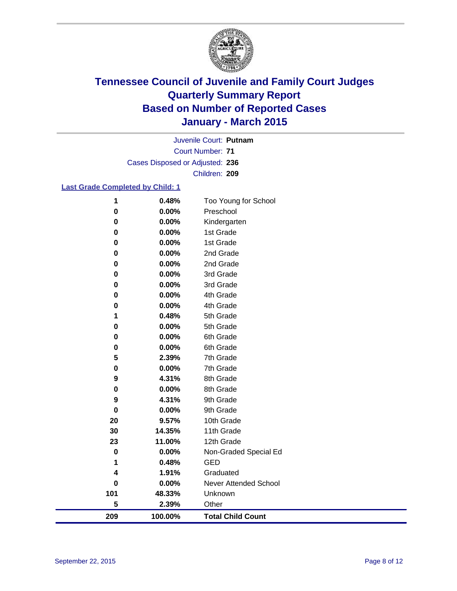

Court Number: **71** Juvenile Court: **Putnam** Cases Disposed or Adjusted: **236** Children: **209**

### **Last Grade Completed by Child: 1**

| 209       | 100.00% | <b>Total Child Count</b> |
|-----------|---------|--------------------------|
| 5         | 2.39%   | Other                    |
| 101       | 48.33%  | Unknown                  |
| $\pmb{0}$ | 0.00%   | Never Attended School    |
| 4         | 1.91%   | Graduated                |
| 1         | 0.48%   | <b>GED</b>               |
| $\pmb{0}$ | 0.00%   | Non-Graded Special Ed    |
| 23        | 11.00%  | 12th Grade               |
| 30        | 14.35%  | 11th Grade               |
| 20        | 9.57%   | 10th Grade               |
| $\bf{0}$  | 0.00%   | 9th Grade                |
| 9         | 4.31%   | 9th Grade                |
| 0         | 0.00%   | 8th Grade                |
| 9         | 4.31%   | 8th Grade                |
| 0         | 0.00%   | 7th Grade                |
| 5         | 2.39%   | 7th Grade                |
| 0         | 0.00%   | 6th Grade                |
| 0         | 0.00%   | 6th Grade                |
| 0         | 0.00%   | 5th Grade                |
| 1         | 0.48%   | 5th Grade                |
| 0         | 0.00%   | 4th Grade                |
| 0         | 0.00%   | 4th Grade                |
| 0         | 0.00%   | 3rd Grade                |
| 0         | 0.00%   | 3rd Grade                |
| $\bf{0}$  | 0.00%   | 2nd Grade                |
| 0         | 0.00%   | 2nd Grade                |
| 0         | 0.00%   | 1st Grade                |
| $\pmb{0}$ | 0.00%   | 1st Grade                |
| $\bf{0}$  | 0.00%   | Kindergarten             |
| $\bf{0}$  | 0.00%   | Preschool                |
| 1         | 0.48%   | Too Young for School     |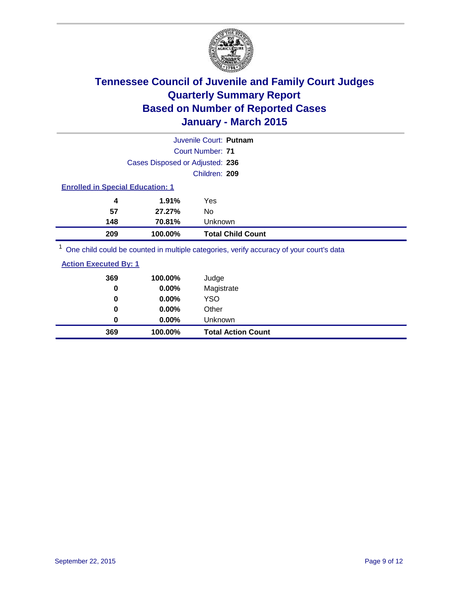

|                                         | Juvenile Court: Putnam          |                          |  |  |  |  |  |  |
|-----------------------------------------|---------------------------------|--------------------------|--|--|--|--|--|--|
|                                         | <b>Court Number: 71</b>         |                          |  |  |  |  |  |  |
|                                         | Cases Disposed or Adjusted: 236 |                          |  |  |  |  |  |  |
|                                         | Children: 209                   |                          |  |  |  |  |  |  |
| <b>Enrolled in Special Education: 1</b> |                                 |                          |  |  |  |  |  |  |
| 4                                       | 1.91%<br>Yes                    |                          |  |  |  |  |  |  |
| 57                                      | 27.27%<br>No                    |                          |  |  |  |  |  |  |
| 148                                     | 70.81%                          | Unknown                  |  |  |  |  |  |  |
| 209                                     | 100.00%                         | <b>Total Child Count</b> |  |  |  |  |  |  |
| $1 -$                                   |                                 |                          |  |  |  |  |  |  |

<sup>1</sup> One child could be counted in multiple categories, verify accuracy of your court's data

| <b>Action Executed By: 1</b> |
|------------------------------|
|------------------------------|

| 369<br>0 | 100.00%<br>0.00% | Judge<br>Magistrate       |
|----------|------------------|---------------------------|
| 0        | 0.00%            | <b>YSO</b>                |
| 0        | 0.00%            | Other                     |
| 0        | 0.00%            | Unknown                   |
| 369      | 100.00%          | <b>Total Action Count</b> |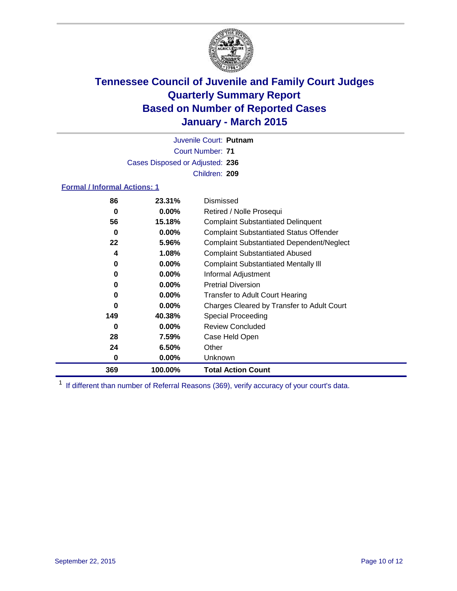

Court Number: **71** Juvenile Court: **Putnam** Cases Disposed or Adjusted: **236** Children: **209**

#### **Formal / Informal Actions: 1**

| 86  | 23.31%   | Dismissed                                        |
|-----|----------|--------------------------------------------------|
| 0   | $0.00\%$ | Retired / Nolle Prosequi                         |
| 56  | 15.18%   | <b>Complaint Substantiated Delinquent</b>        |
| 0   | $0.00\%$ | <b>Complaint Substantiated Status Offender</b>   |
| 22  | 5.96%    | <b>Complaint Substantiated Dependent/Neglect</b> |
| 4   | 1.08%    | <b>Complaint Substantiated Abused</b>            |
| 0   | $0.00\%$ | <b>Complaint Substantiated Mentally III</b>      |
| 0   | $0.00\%$ | Informal Adjustment                              |
| 0   | $0.00\%$ | <b>Pretrial Diversion</b>                        |
| 0   | $0.00\%$ | <b>Transfer to Adult Court Hearing</b>           |
| 0   | $0.00\%$ | Charges Cleared by Transfer to Adult Court       |
| 149 | 40.38%   | <b>Special Proceeding</b>                        |
| 0   | $0.00\%$ | <b>Review Concluded</b>                          |
| 28  | 7.59%    | Case Held Open                                   |
| 24  | 6.50%    | Other                                            |
| 0   | $0.00\%$ | Unknown                                          |
| 369 | 100.00%  | <b>Total Action Count</b>                        |

<sup>1</sup> If different than number of Referral Reasons (369), verify accuracy of your court's data.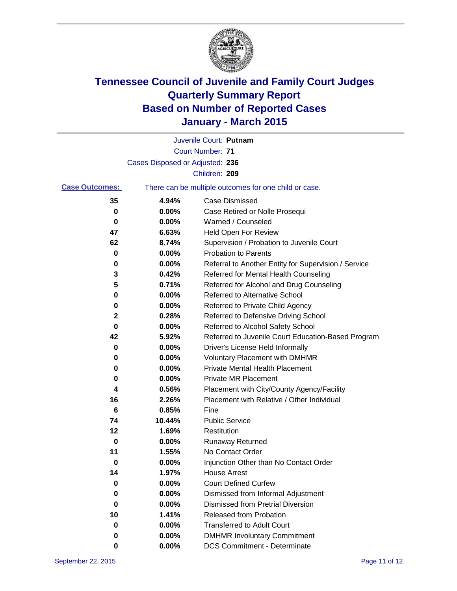

|                       |                                 | Juvenile Court: Putnam                                |
|-----------------------|---------------------------------|-------------------------------------------------------|
|                       |                                 | <b>Court Number: 71</b>                               |
|                       | Cases Disposed or Adjusted: 236 |                                                       |
|                       |                                 | Children: 209                                         |
| <b>Case Outcomes:</b> |                                 | There can be multiple outcomes for one child or case. |
| 35                    | 4.94%                           | <b>Case Dismissed</b>                                 |
| 0                     | 0.00%                           | Case Retired or Nolle Prosequi                        |
| 0                     | 0.00%                           | Warned / Counseled                                    |
| 47                    | 6.63%                           | <b>Held Open For Review</b>                           |
| 62                    | 8.74%                           | Supervision / Probation to Juvenile Court             |
| 0                     | 0.00%                           | <b>Probation to Parents</b>                           |
| 0                     | 0.00%                           | Referral to Another Entity for Supervision / Service  |
| 3                     | 0.42%                           | Referred for Mental Health Counseling                 |
| 5                     | 0.71%                           | Referred for Alcohol and Drug Counseling              |
| 0                     | 0.00%                           | Referred to Alternative School                        |
| 0                     | 0.00%                           | Referred to Private Child Agency                      |
| 2                     | 0.28%                           | Referred to Defensive Driving School                  |
| 0                     | 0.00%                           | Referred to Alcohol Safety School                     |
| 42                    | 5.92%                           | Referred to Juvenile Court Education-Based Program    |
| 0                     | 0.00%                           | Driver's License Held Informally                      |
| 0                     | 0.00%                           | <b>Voluntary Placement with DMHMR</b>                 |
| 0                     | 0.00%                           | <b>Private Mental Health Placement</b>                |
| 0                     | 0.00%                           | <b>Private MR Placement</b>                           |
| 4                     | 0.56%                           | Placement with City/County Agency/Facility            |
| 16                    | 2.26%                           | Placement with Relative / Other Individual            |
| 6                     | 0.85%                           | Fine                                                  |
| 74                    | 10.44%                          | <b>Public Service</b>                                 |
| 12                    | 1.69%                           | Restitution                                           |
| 0                     | 0.00%                           | <b>Runaway Returned</b>                               |
| 11                    | 1.55%                           | No Contact Order                                      |
| 0                     | 0.00%                           | Injunction Other than No Contact Order                |
| 14                    | 1.97%                           | House Arrest                                          |
| 0                     | 0.00%                           | <b>Court Defined Curfew</b>                           |
| 0                     | 0.00%                           | Dismissed from Informal Adjustment                    |
| 0                     | 0.00%                           | <b>Dismissed from Pretrial Diversion</b>              |
| 10                    | 1.41%                           | Released from Probation                               |
| 0                     | 0.00%                           | <b>Transferred to Adult Court</b>                     |
| 0                     | 0.00%                           | <b>DMHMR Involuntary Commitment</b>                   |
| 0                     | $0.00\%$                        | <b>DCS Commitment - Determinate</b>                   |